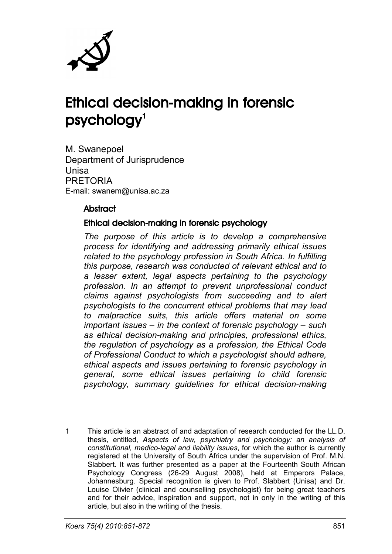

# Ethical decision-making in forensic psychology**<sup>1</sup>**

M. Swanepoel Department of Jurisprudence Unisa PRETORIA E-mail: swanem@unisa.ac.za

#### **Abstract**

#### Ethical decision-making in forensic psychology

*The purpose of this article is to develop a comprehensive process for identifying and addressing primarily ethical issues related to the psychology profession in South Africa. In fulfilling this purpose, research was conducted of relevant ethical and to a lesser extent, legal aspects pertaining to the psychology profession. In an attempt to prevent unprofessional conduct claims against psychologists from succeeding and to alert psychologists to the concurrent ethical problems that may lead to malpractice suits, this article offers material on some important issues – in the context of forensic psychology – such as ethical decision-making and principles, professional ethics, the regulation of psychology as a profession, the Ethical Code of Professional Conduct to which a psychologist should adhere, ethical aspects and issues pertaining to forensic psychology in general, some ethical issues pertaining to child forensic psychology, summary guidelines for ethical decision-making* 

<sup>1</sup> This article is an abstract of and adaptation of research conducted for the LL.D. thesis, entitled, *Aspects of law, psychiatry and psychology: an analysis of constitutional, medico-legal and liability issues*, for which the author is currently registered at the University of South Africa under the supervision of Prof. M.N. Slabbert. It was further presented as a paper at the Fourteenth South African Psychology Congress (26-29 August 2008), held at Emperors Palace, Johannesburg. Special recognition is given to Prof. Slabbert (Unisa) and Dr. Louise Olivier (clinical and counselling psychologist) for being great teachers and for their advice, inspiration and support, not in only in the writing of this article, but also in the writing of the thesis.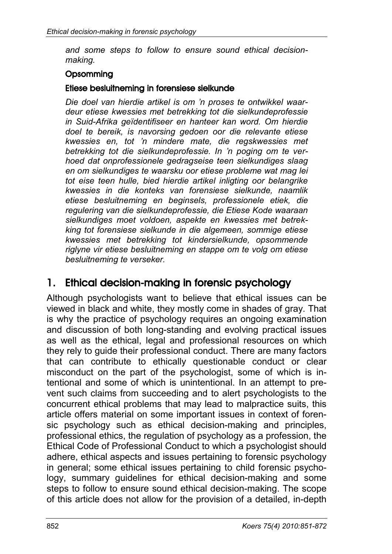*and some steps to follow to ensure sound ethical decisionmaking.* 

#### **Opsomming**

#### Etiese besluitneming in forensiese sielkunde

*Die doel van hierdie artikel is om 'n proses te ontwikkel waardeur etiese kwessies met betrekking tot die sielkundeprofessie in Suid-Afrika geïdentifiseer en hanteer kan word. Om hierdie doel te bereik, is navorsing gedoen oor die relevante etiese kwessies en, tot 'n mindere mate, die regskwessies met betrekking tot die sielkundeprofessie. In 'n poging om te verhoed dat onprofessionele gedragseise teen sielkundiges slaag en om sielkundiges te waarsku oor etiese probleme wat mag lei tot eise teen hulle, bied hierdie artikel inligting oor belangrike kwessies in die konteks van forensiese sielkunde, naamlik etiese besluitneming en beginsels, professionele etiek, die regulering van die sielkundeprofessie, die Etiese Kode waaraan sielkundiges moet voldoen, aspekte en kwessies met betrekking tot forensiese sielkunde in die algemeen, sommige etiese kwessies met betrekking tot kindersielkunde, opsommende riglyne vir etiese besluitneming en stappe om te volg om etiese besluitneming te verseker.* 

## 1. Ethical decision-making in forensic psychology

Although psychologists want to believe that ethical issues can be viewed in black and white, they mostly come in shades of gray. That is why the practice of psychology requires an ongoing examination and discussion of both long-standing and evolving practical issues as well as the ethical, legal and professional resources on which they rely to guide their professional conduct. There are many factors that can contribute to ethically questionable conduct or clear misconduct on the part of the psychologist, some of which is intentional and some of which is unintentional. In an attempt to prevent such claims from succeeding and to alert psychologists to the concurrent ethical problems that may lead to malpractice suits, this article offers material on some important issues in context of forensic psychology such as ethical decision-making and principles, professional ethics, the regulation of psychology as a profession, the Ethical Code of Professional Conduct to which a psychologist should adhere, ethical aspects and issues pertaining to forensic psychology in general; some ethical issues pertaining to child forensic psychology, summary guidelines for ethical decision-making and some steps to follow to ensure sound ethical decision-making. The scope of this article does not allow for the provision of a detailed, in-depth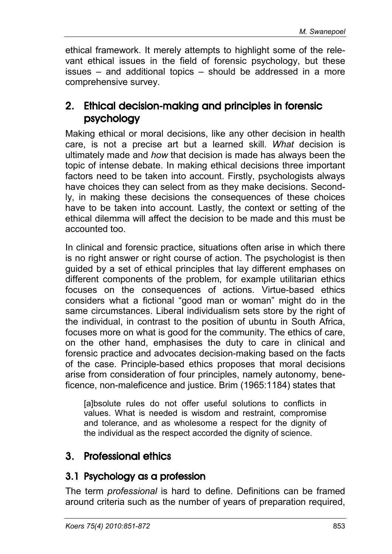ethical framework. It merely attempts to highlight some of the relevant ethical issues in the field of forensic psychology, but these issues – and additional topics – should be addressed in a more comprehensive survey.

## 2. Ethical decision-making and principles in forensic psychology

Making ethical or moral decisions, like any other decision in health care, is not a precise art but a learned skill. *What* decision is ultimately made and *how* that decision is made has always been the topic of intense debate. In making ethical decisions three important factors need to be taken into account. Firstly, psychologists always have choices they can select from as they make decisions. Secondly, in making these decisions the consequences of these choices have to be taken into account. Lastly, the context or setting of the ethical dilemma will affect the decision to be made and this must be accounted too.

In clinical and forensic practice, situations often arise in which there is no right answer or right course of action. The psychologist is then guided by a set of ethical principles that lay different emphases on different components of the problem, for example utilitarian ethics focuses on the consequences of actions. Virtue-based ethics considers what a fictional "good man or woman" might do in the same circumstances. Liberal individualism sets store by the right of the individual, in contrast to the position of ubuntu in South Africa, focuses more on what is good for the community. The ethics of care, on the other hand, emphasises the duty to care in clinical and forensic practice and advocates decision-making based on the facts of the case. Principle-based ethics proposes that moral decisions arise from consideration of four principles, namely autonomy, beneficence, non-maleficence and justice. Brim (1965:1184) states that

[a]bsolute rules do not offer useful solutions to conflicts in values. What is needed is wisdom and restraint, compromise and tolerance, and as wholesome a respect for the dignity of the individual as the respect accorded the dignity of science.

## 3. Professional ethics

## 3.1 Psychology as a profession

The term *professional* is hard to define. Definitions can be framed around criteria such as the number of years of preparation required,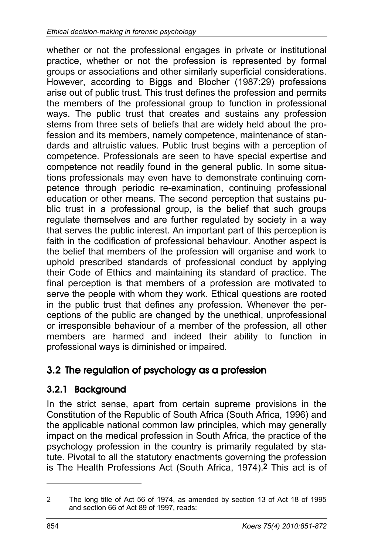whether or not the professional engages in private or institutional practice, whether or not the profession is represented by formal groups or associations and other similarly superficial considerations. However, according to Biggs and Blocher (1987:29) professions arise out of public trust. This trust defines the profession and permits the members of the professional group to function in professional ways. The public trust that creates and sustains any profession stems from three sets of beliefs that are widely held about the profession and its members, namely competence, maintenance of standards and altruistic values. Public trust begins with a perception of competence. Professionals are seen to have special expertise and competence not readily found in the general public. In some situations professionals may even have to demonstrate continuing competence through periodic re-examination, continuing professional education or other means. The second perception that sustains public trust in a professional group, is the belief that such groups regulate themselves and are further regulated by society in a way that serves the public interest. An important part of this perception is faith in the codification of professional behaviour. Another aspect is the belief that members of the profession will organise and work to uphold prescribed standards of professional conduct by applying their Code of Ethics and maintaining its standard of practice. The final perception is that members of a profession are motivated to serve the people with whom they work. Ethical questions are rooted in the public trust that defines any profession. Whenever the perceptions of the public are changed by the unethical, unprofessional or irresponsible behaviour of a member of the profession, all other members are harmed and indeed their ability to function in professional ways is diminished or impaired.

# 3.2 The regulation of psychology as a profession

# 3.2.1 Background

In the strict sense, apart from certain supreme provisions in the Constitution of the Republic of South Africa (South Africa, 1996) and the applicable national common law principles, which may generally impact on the medical profession in South Africa, the practice of the psychology profession in the country is primarily regulated by statute. Pivotal to all the statutory enactments governing the profession is The Health Professions Act (South Africa, 1974).**2** This act is of

-

<sup>2</sup> The long title of Act 56 of 1974, as amended by section 13 of Act 18 of 1995 and section 66 of Act 89 of 1997, reads: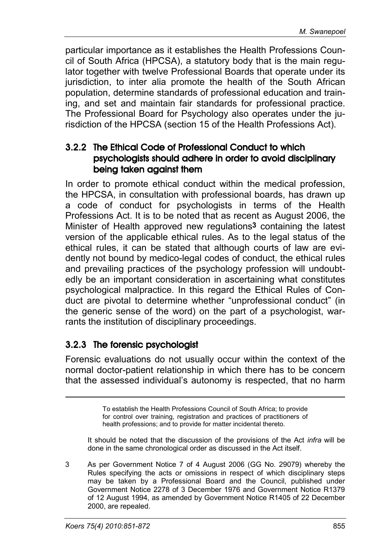particular importance as it establishes the Health Professions Council of South Africa (HPCSA), a statutory body that is the main regulator together with twelve Professional Boards that operate under its jurisdiction, to inter alia promote the health of the South African population, determine standards of professional education and training, and set and maintain fair standards for professional practice. The Professional Board for Psychology also operates under the jurisdiction of the HPCSA (section 15 of the Health Professions Act).

#### 3.2.2 The Ethical Code of Professional Conduct to which psychologists should adhere in order to avoid disciplinary being taken against them

In order to promote ethical conduct within the medical profession, the HPCSA, in consultation with professional boards, has drawn up a code of conduct for psychologists in terms of the Health Professions Act. It is to be noted that as recent as August 2006, the Minister of Health approved new regulations**3** containing the latest version of the applicable ethical rules. As to the legal status of the ethical rules, it can be stated that although courts of law are evidently not bound by medico-legal codes of conduct, the ethical rules and prevailing practices of the psychology profession will undoubtedly be an important consideration in ascertaining what constitutes psychological malpractice. In this regard the Ethical Rules of Conduct are pivotal to determine whether "unprofessional conduct" (in the generic sense of the word) on the part of a psychologist, warrants the institution of disciplinary proceedings.

## 3.2.3 The forensic psychologist

Forensic evaluations do not usually occur within the context of the normal doctor-patient relationship in which there has to be concern that the assessed individual's autonomy is respected, that no harm

> To establish the Health Professions Council of South Africa; to provide for control over training, registration and practices of practitioners of health professions; and to provide for matter incidental thereto.

It should be noted that the discussion of the provisions of the Act *infra* will be done in the same chronological order as discussed in the Act itself.

3 As per Government Notice 7 of 4 August 2006 (GG No. 29079) whereby the Rules specifying the acts or omissions in respect of which disciplinary steps may be taken by a Professional Board and the Council, published under Government Notice 2278 of 3 December 1976 and Government Notice R1379 of 12 August 1994, as amended by Government Notice R1405 of 22 December 2000, are repealed.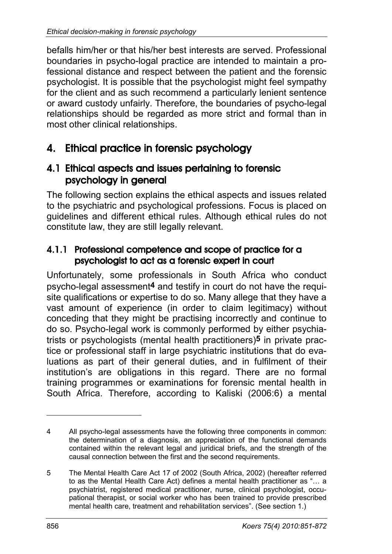befalls him/her or that his/her best interests are served. Professional boundaries in psycho-logal practice are intended to maintain a professional distance and respect between the patient and the forensic psychologist. It is possible that the psychologist might feel sympathy for the client and as such recommend a particularly lenient sentence or award custody unfairly. Therefore, the boundaries of psycho-legal relationships should be regarded as more strict and formal than in most other clinical relationships.

# 4. Ethical practice in forensic psychology

## 4.1 Ethical aspects and issues pertaining to forensic psychology in general

The following section explains the ethical aspects and issues related to the psychiatric and psychological professions. Focus is placed on guidelines and different ethical rules. Although ethical rules do not constitute law, they are still legally relevant.

#### 4.1.1 Professional competence and scope of practice for a psychologist to act as a forensic expert in court

Unfortunately, some professionals in South Africa who conduct psycho-legal assessment**4** and testify in court do not have the requisite qualifications or expertise to do so. Many allege that they have a vast amount of experience (in order to claim legitimacy) without conceding that they might be practising incorrectly and continue to do so. Psycho-legal work is commonly performed by either psychiatrists or psychologists (mental health practitioners)**5** in private practice or professional staff in large psychiatric institutions that do evaluations as part of their general duties, and in fulfilment of their institution's are obligations in this regard. There are no formal training programmes or examinations for forensic mental health in South Africa. Therefore, according to Kaliski (2006:6) a mental

<sup>4</sup> All psycho-legal assessments have the following three components in common: the determination of a diagnosis, an appreciation of the functional demands contained within the relevant legal and juridical briefs, and the strength of the causal connection between the first and the second requirements.

<sup>5</sup> The Mental Health Care Act 17 of 2002 (South Africa, 2002) (hereafter referred to as the Mental Health Care Act) defines a mental health practitioner as "… a psychiatrist, registered medical practitioner, nurse, clinical psychologist, occupational therapist, or social worker who has been trained to provide prescribed mental health care, treatment and rehabilitation services". (See section 1.)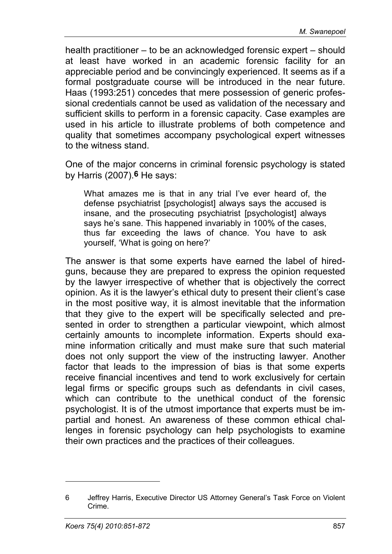health practitioner – to be an acknowledged forensic expert – should at least have worked in an academic forensic facility for an appreciable period and be convincingly experienced. It seems as if a formal postgraduate course will be introduced in the near future. Haas (1993:251) concedes that mere possession of generic professional credentials cannot be used as validation of the necessary and sufficient skills to perform in a forensic capacity. Case examples are used in his article to illustrate problems of both competence and quality that sometimes accompany psychological expert witnesses to the witness stand.

One of the major concerns in criminal forensic psychology is stated by Harris (2007).**6** He says:

What amazes me is that in any trial I've ever heard of, the defense psychiatrist [psychologist] always says the accused is insane, and the prosecuting psychiatrist [psychologist] always says he's sane. This happened invariably in 100% of the cases, thus far exceeding the laws of chance. You have to ask yourself, 'What is going on here?'

The answer is that some experts have earned the label of hiredguns, because they are prepared to express the opinion requested by the lawyer irrespective of whether that is objectively the correct opinion. As it is the lawyer's ethical duty to present their client's case in the most positive way, it is almost inevitable that the information that they give to the expert will be specifically selected and presented in order to strengthen a particular viewpoint, which almost certainly amounts to incomplete information. Experts should examine information critically and must make sure that such material does not only support the view of the instructing lawyer. Another factor that leads to the impression of bias is that some experts receive financial incentives and tend to work exclusively for certain legal firms or specific groups such as defendants in civil cases, which can contribute to the unethical conduct of the forensic psychologist. It is of the utmost importance that experts must be impartial and honest. An awareness of these common ethical challenges in forensic psychology can help psychologists to examine their own practices and the practices of their colleagues.

<sup>6</sup> Jeffrey Harris, Executive Director US Attorney General's Task Force on Violent Crime.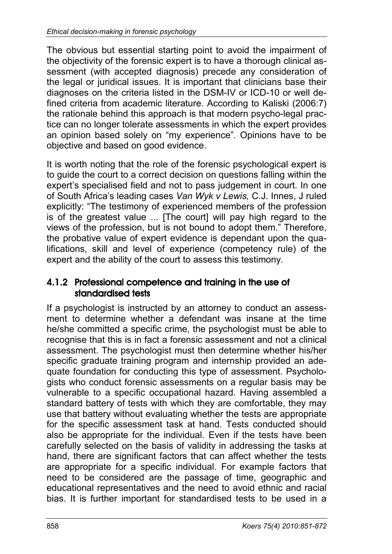The obvious but essential starting point to avoid the impairment of the objectivity of the forensic expert is to have a thorough clinical assessment (with accepted diagnosis) precede any consideration of the legal or juridical issues. It is important that clinicians base their diagnoses on the criteria listed in the DSM-IV or ICD-10 or well defined criteria from academic literature. According to Kaliski (2006:7) the rationale behind this approach is that modern psycho-legal practice can no longer tolerate assessments in which the expert provides an opinion based solely on "my experience". Opinions have to be objective and based on good evidence.

It is worth noting that the role of the forensic psychological expert is to guide the court to a correct decision on questions falling within the expert's specialised field and not to pass judgement in court. In one of South Africa's leading cases *Van Wyk v Lewis,* C.J. Innes, J ruled explicitly: "The testimony of experienced members of the profession is of the greatest value ... [The court] will pay high regard to the views of the profession, but is not bound to adopt them." Therefore, the probative value of expert evidence is dependant upon the qualifications, skill and level of experience (competency rule) of the expert and the ability of the court to assess this testimony.

#### 4.1.2 Professional competence and training in the use of standardised tests

If a psychologist is instructed by an attorney to conduct an assessment to determine whether a defendant was insane at the time he/she committed a specific crime, the psychologist must be able to recognise that this is in fact a forensic assessment and not a clinical assessment. The psychologist must then determine whether his/her specific graduate training program and internship provided an adequate foundation for conducting this type of assessment. Psychologists who conduct forensic assessments on a regular basis may be vulnerable to a specific occupational hazard. Having assembled a standard battery of tests with which they are comfortable, they may use that battery without evaluating whether the tests are appropriate for the specific assessment task at hand. Tests conducted should also be appropriate for the individual. Even if the tests have been carefully selected on the basis of validity in addressing the tasks at hand, there are significant factors that can affect whether the tests are appropriate for a specific individual. For example factors that need to be considered are the passage of time, geographic and educational representatives and the need to avoid ethnic and racial bias. It is further important for standardised tests to be used in a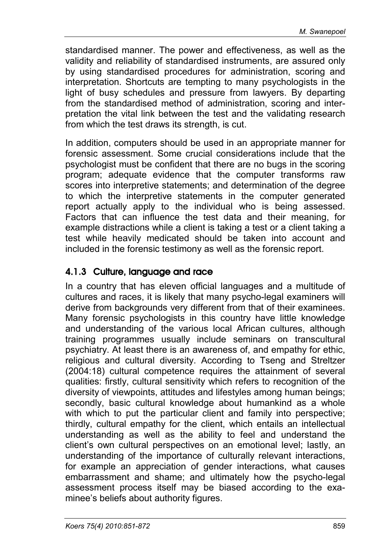standardised manner. The power and effectiveness, as well as the validity and reliability of standardised instruments, are assured only by using standardised procedures for administration, scoring and interpretation. Shortcuts are tempting to many psychologists in the light of busy schedules and pressure from lawyers. By departing from the standardised method of administration, scoring and interpretation the vital link between the test and the validating research from which the test draws its strength, is cut.

In addition, computers should be used in an appropriate manner for forensic assessment. Some crucial considerations include that the psychologist must be confident that there are no bugs in the scoring program; adequate evidence that the computer transforms raw scores into interpretive statements; and determination of the degree to which the interpretive statements in the computer generated report actually apply to the individual who is being assessed. Factors that can influence the test data and their meaning, for example distractions while a client is taking a test or a client taking a test while heavily medicated should be taken into account and included in the forensic testimony as well as the forensic report.

## 4.1.3 Culture, language and race

In a country that has eleven official languages and a multitude of cultures and races, it is likely that many psycho-legal examiners will derive from backgrounds very different from that of their examinees. Many forensic psychologists in this country have little knowledge and understanding of the various local African cultures, although training programmes usually include seminars on transcultural psychiatry. At least there is an awareness of, and empathy for ethic, religious and cultural diversity. According to Tseng and Streltzer (2004:18) cultural competence requires the attainment of several qualities: firstly, cultural sensitivity which refers to recognition of the diversity of viewpoints, attitudes and lifestyles among human beings; secondly, basic cultural knowledge about humankind as a whole with which to put the particular client and family into perspective; thirdly, cultural empathy for the client, which entails an intellectual understanding as well as the ability to feel and understand the client's own cultural perspectives on an emotional level; lastly, an understanding of the importance of culturally relevant interactions, for example an appreciation of gender interactions, what causes embarrassment and shame; and ultimately how the psycho-legal assessment process itself may be biased according to the examinee's beliefs about authority figures.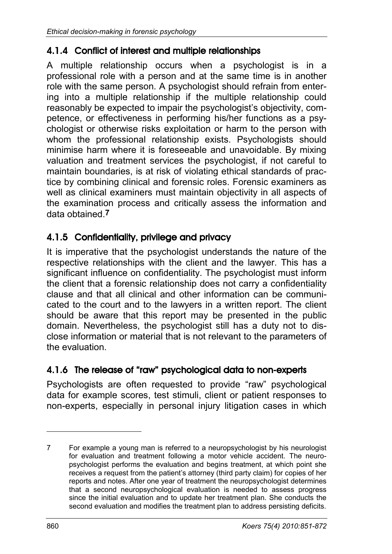## 4.1.4 Conflict of interest and multiple relationships

A multiple relationship occurs when a psychologist is in a professional role with a person and at the same time is in another role with the same person. A psychologist should refrain from entering into a multiple relationship if the multiple relationship could reasonably be expected to impair the psychologist's objectivity, competence, or effectiveness in performing his/her functions as a psychologist or otherwise risks exploitation or harm to the person with whom the professional relationship exists. Psychologists should minimise harm where it is foreseeable and unavoidable. By mixing valuation and treatment services the psychologist, if not careful to maintain boundaries, is at risk of violating ethical standards of practice by combining clinical and forensic roles. Forensic examiners as well as clinical examiners must maintain objectivity in all aspects of the examination process and critically assess the information and data obtained.**7**

#### 4.1.5 Confidentiality, privilege and privacy

It is imperative that the psychologist understands the nature of the respective relationships with the client and the lawyer. This has a significant influence on confidentiality. The psychologist must inform the client that a forensic relationship does not carry a confidentiality clause and that all clinical and other information can be communicated to the court and to the lawyers in a written report. The client should be aware that this report may be presented in the public domain. Nevertheless, the psychologist still has a duty not to disclose information or material that is not relevant to the parameters of the evaluation.

## 4.1.6 The release of "raw" psychological data to non-experts

Psychologists are often requested to provide "raw" psychological data for example scores, test stimuli, client or patient responses to non-experts, especially in personal injury litigation cases in which

-

<sup>7</sup> For example a young man is referred to a neuropsychologist by his neurologist for evaluation and treatment following a motor vehicle accident. The neuropsychologist performs the evaluation and begins treatment, at which point she receives a request from the patient's attorney (third party claim) for copies of her reports and notes. After one year of treatment the neuropsychologist determines that a second neuropsychological evaluation is needed to assess progress since the initial evaluation and to update her treatment plan. She conducts the second evaluation and modifies the treatment plan to address persisting deficits.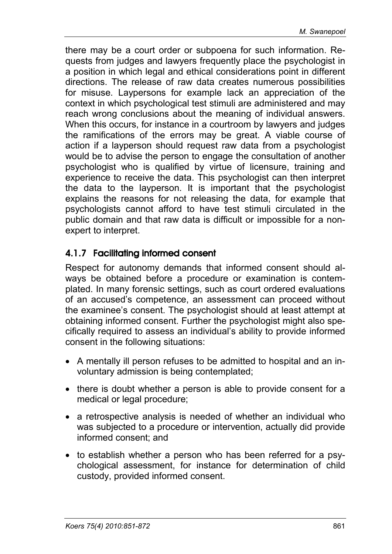there may be a court order or subpoena for such information. Requests from judges and lawyers frequently place the psychologist in a position in which legal and ethical considerations point in different directions. The release of raw data creates numerous possibilities for misuse. Laypersons for example lack an appreciation of the context in which psychological test stimuli are administered and may reach wrong conclusions about the meaning of individual answers. When this occurs, for instance in a courtroom by lawyers and judges the ramifications of the errors may be great. A viable course of action if a layperson should request raw data from a psychologist would be to advise the person to engage the consultation of another psychologist who is qualified by virtue of licensure, training and experience to receive the data. This psychologist can then interpret the data to the layperson. It is important that the psychologist explains the reasons for not releasing the data, for example that psychologists cannot afford to have test stimuli circulated in the public domain and that raw data is difficult or impossible for a nonexpert to interpret.

## 4.1.7 Facilitating informed consent

Respect for autonomy demands that informed consent should always be obtained before a procedure or examination is contemplated. In many forensic settings, such as court ordered evaluations of an accused's competence, an assessment can proceed without the examinee's consent. The psychologist should at least attempt at obtaining informed consent. Further the psychologist might also specifically required to assess an individual's ability to provide informed consent in the following situations:

- A mentally ill person refuses to be admitted to hospital and an involuntary admission is being contemplated;
- there is doubt whether a person is able to provide consent for a medical or legal procedure;
- a retrospective analysis is needed of whether an individual who was subjected to a procedure or intervention, actually did provide informed consent; and
- to establish whether a person who has been referred for a psychological assessment, for instance for determination of child custody, provided informed consent.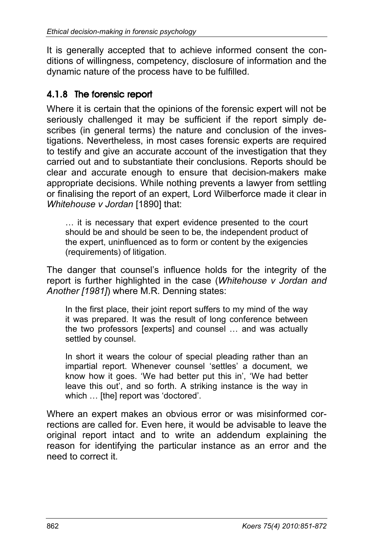It is generally accepted that to achieve informed consent the conditions of willingness, competency, disclosure of information and the dynamic nature of the process have to be fulfilled.

#### 4.1.8 The forensic report

Where it is certain that the opinions of the forensic expert will not be seriously challenged it may be sufficient if the report simply describes (in general terms) the nature and conclusion of the investigations. Nevertheless, in most cases forensic experts are required to testify and give an accurate account of the investigation that they carried out and to substantiate their conclusions. Reports should be clear and accurate enough to ensure that decision-makers make appropriate decisions. While nothing prevents a lawyer from settling or finalising the report of an expert, Lord Wilberforce made it clear in *Whitehouse v Jordan* [1890] that:

… it is necessary that expert evidence presented to the court should be and should be seen to be, the independent product of the expert, uninfluenced as to form or content by the exigencies (requirements) of litigation.

The danger that counsel's influence holds for the integrity of the report is further highlighted in the case (*Whitehouse v Jordan and Another [1981]*) where M.R. Denning states:

In the first place, their joint report suffers to my mind of the way it was prepared. It was the result of long conference between the two professors [experts] and counsel … and was actually settled by counsel.

In short it wears the colour of special pleading rather than an impartial report. Whenever counsel 'settles' a document, we know how it goes. 'We had better put this in', 'We had better leave this out', and so forth. A striking instance is the way in which … [the] report was 'doctored'.

Where an expert makes an obvious error or was misinformed corrections are called for. Even here, it would be advisable to leave the original report intact and to write an addendum explaining the reason for identifying the particular instance as an error and the need to correct it.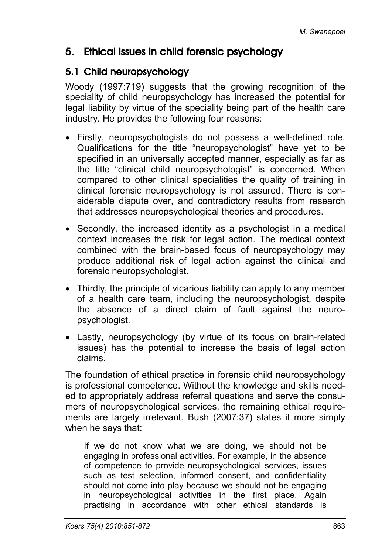# 5. Ethical issues in child forensic psychology

## 5.1 Child neuropsychology

Woody (1997:719) suggests that the growing recognition of the speciality of child neuropsychology has increased the potential for legal liability by virtue of the speciality being part of the health care industry. He provides the following four reasons:

- Firstly, neuropsychologists do not possess a well-defined role. Qualifications for the title "neuropsychologist" have yet to be specified in an universally accepted manner, especially as far as the title "clinical child neuropsychologist" is concerned. When compared to other clinical specialities the quality of training in clinical forensic neuropsychology is not assured. There is considerable dispute over, and contradictory results from research that addresses neuropsychological theories and procedures.
- Secondly, the increased identity as a psychologist in a medical context increases the risk for legal action. The medical context combined with the brain-based focus of neuropsychology may produce additional risk of legal action against the clinical and forensic neuropsychologist.
- Thirdly, the principle of vicarious liability can apply to any member of a health care team, including the neuropsychologist, despite the absence of a direct claim of fault against the neuropsychologist.
- Lastly, neuropsychology (by virtue of its focus on brain-related issues) has the potential to increase the basis of legal action claims.

The foundation of ethical practice in forensic child neuropsychology is professional competence. Without the knowledge and skills needed to appropriately address referral questions and serve the consumers of neuropsychological services, the remaining ethical requirements are largely irrelevant. Bush (2007:37) states it more simply when he says that:

If we do not know what we are doing, we should not be engaging in professional activities. For example, in the absence of competence to provide neuropsychological services, issues such as test selection, informed consent, and confidentiality should not come into play because we should not be engaging in neuropsychological activities in the first place. Again practising in accordance with other ethical standards is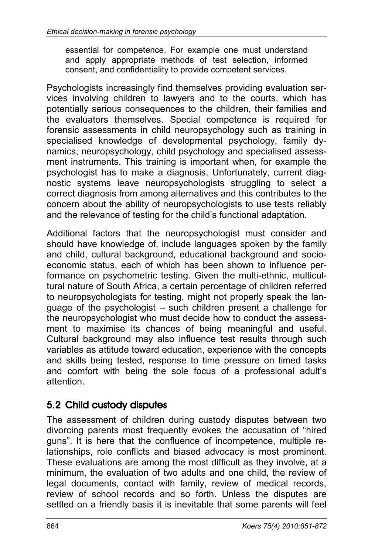essential for competence. For example one must understand and apply appropriate methods of test selection, informed consent, and confidentiality to provide competent services.

Psychologists increasingly find themselves providing evaluation services involving children to lawyers and to the courts, which has potentially serious consequences to the children, their families and the evaluators themselves. Special competence is required for forensic assessments in child neuropsychology such as training in specialised knowledge of developmental psychology, family dynamics, neuropsychology, child psychology and specialised assessment instruments. This training is important when, for example the psychologist has to make a diagnosis. Unfortunately, current diagnostic systems leave neuropsychologists struggling to select a correct diagnosis from among alternatives and this contributes to the concern about the ability of neuropsychologists to use tests reliably and the relevance of testing for the child's functional adaptation.

Additional factors that the neuropsychologist must consider and should have knowledge of, include languages spoken by the family and child, cultural background, educational background and socioeconomic status, each of which has been shown to influence performance on psychometric testing. Given the multi-ethnic, multicultural nature of South Africa, a certain percentage of children referred to neuropsychologists for testing, might not properly speak the language of the psychologist – such children present a challenge for the neuropsychologist who must decide how to conduct the assessment to maximise its chances of being meaningful and useful. Cultural background may also influence test results through such variables as attitude toward education, experience with the concepts and skills being tested, response to time pressure on timed tasks and comfort with being the sole focus of a professional adult's attention.

## 5.2 Child custody disputes

The assessment of children during custody disputes between two divorcing parents most frequently evokes the accusation of "hired guns". It is here that the confluence of incompetence, multiple relationships, role conflicts and biased advocacy is most prominent. These evaluations are among the most difficult as they involve, at a minimum, the evaluation of two adults and one child, the review of legal documents, contact with family, review of medical records, review of school records and so forth. Unless the disputes are settled on a friendly basis it is inevitable that some parents will feel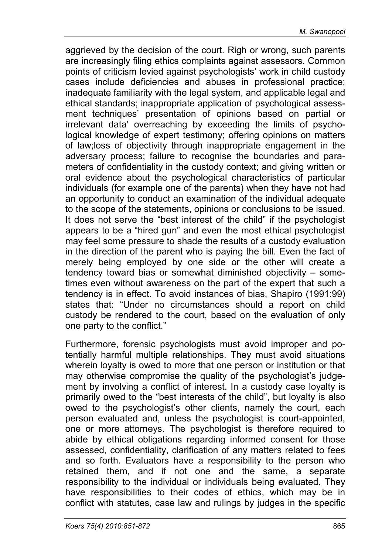aggrieved by the decision of the court. Righ or wrong, such parents are increasingly filing ethics complaints against assessors. Common points of criticism levied against psychologists' work in child custody cases include deficiencies and abuses in professional practice; inadequate familiarity with the legal system, and applicable legal and ethical standards; inappropriate application of psychological assessment techniques' presentation of opinions based on partial or irrelevant data' overreaching by exceeding the limits of psychological knowledge of expert testimony; offering opinions on matters of law;loss of objectivity through inappropriate engagement in the adversary process; failure to recognise the boundaries and parameters of confidentiality in the custody context; and giving written or oral evidence about the psychological characteristics of particular individuals (for example one of the parents) when they have not had an opportunity to conduct an examination of the individual adequate to the scope of the statements, opinions or conclusions to be issued. It does not serve the "best interest of the child" if the psychologist appears to be a "hired gun" and even the most ethical psychologist may feel some pressure to shade the results of a custody evaluation in the direction of the parent who is paying the bill. Even the fact of merely being employed by one side or the other will create a tendency toward bias or somewhat diminished objectivity – sometimes even without awareness on the part of the expert that such a tendency is in effect. To avoid instances of bias, Shapiro (1991:99) states that: "Under no circumstances should a report on child custody be rendered to the court, based on the evaluation of only one party to the conflict."

Furthermore, forensic psychologists must avoid improper and potentially harmful multiple relationships. They must avoid situations wherein loyalty is owed to more that one person or institution or that may otherwise compromise the quality of the psychologist's judgement by involving a conflict of interest. In a custody case loyalty is primarily owed to the "best interests of the child", but loyalty is also owed to the psychologist's other clients, namely the court, each person evaluated and, unless the psychologist is court-appointed, one or more attorneys. The psychologist is therefore required to abide by ethical obligations regarding informed consent for those assessed, confidentiality, clarification of any matters related to fees and so forth. Evaluators have a responsibility to the person who retained them, and if not one and the same, a separate responsibility to the individual or individuals being evaluated. They have responsibilities to their codes of ethics, which may be in conflict with statutes, case law and rulings by judges in the specific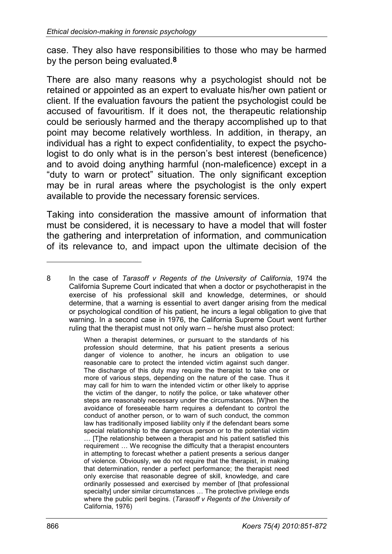case. They also have responsibilities to those who may be harmed by the person being evaluated.**8**

There are also many reasons why a psychologist should not be retained or appointed as an expert to evaluate his/her own patient or client. If the evaluation favours the patient the psychologist could be accused of favouritism. If it does not, the therapeutic relationship could be seriously harmed and the therapy accomplished up to that point may become relatively worthless. In addition, in therapy, an individual has a right to expect confidentiality, to expect the psychologist to do only what is in the person's best interest (beneficence) and to avoid doing anything harmful (non-maleficence) except in a "duty to warn or protect" situation. The only significant exception may be in rural areas where the psychologist is the only expert available to provide the necessary forensic services.

Taking into consideration the massive amount of information that must be considered, it is necessary to have a model that will foster the gathering and interpretation of information, and communication of its relevance to, and impact upon the ultimate decision of the

-

<sup>8</sup> In the case of *Tarasoff v Regents of the University of California*, 1974 the California Supreme Court indicated that when a doctor or psychotherapist in the exercise of his professional skill and knowledge, determines, or should determine, that a warning is essential to avert danger arising from the medical or psychological condition of his patient, he incurs a legal obligation to give that warning. In a second case in 1976, the California Supreme Court went further ruling that the therapist must not only warn – he/she must also protect:

When a therapist determines, or pursuant to the standards of his profession should determine, that his patient presents a serious danger of violence to another, he incurs an obligation to use reasonable care to protect the intended victim against such danger. The discharge of this duty may require the therapist to take one or more of various steps, depending on the nature of the case. Thus it may call for him to warn the intended victim or other likely to apprise the victim of the danger, to notify the police, or take whatever other steps are reasonably necessary under the circumstances. [W]hen the avoidance of foreseeable harm requires a defendant to control the conduct of another person, or to warn of such conduct, the common law has traditionally imposed liability only if the defendant bears some special relationship to the dangerous person or to the potential victim … [T]he relationship between a therapist and his patient satisfied this requirement … We recognise the difficulty that a therapist encounters in attempting to forecast whether a patient presents a serious danger of violence. Obviously, we do not require that the therapist, in making that determination, render a perfect performance; the therapist need only exercise that reasonable degree of skill, knowledge, and care ordinarily possessed and exercised by member of [that professional specialty] under similar circumstances … The protective privilege ends where the public peril begins. (*Tarasoff v Regents of the University of*  California, 1976)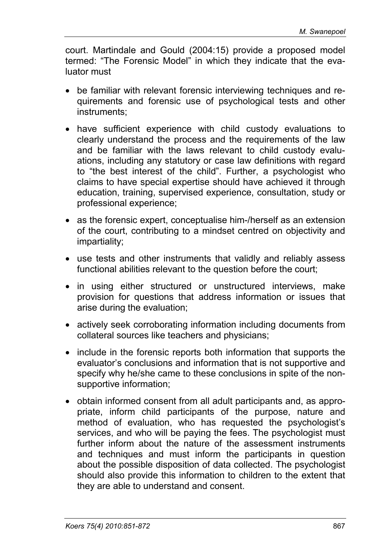court. Martindale and Gould (2004:15) provide a proposed model termed: "The Forensic Model" in which they indicate that the evaluator must

- be familiar with relevant forensic interviewing techniques and requirements and forensic use of psychological tests and other instruments;
- have sufficient experience with child custody evaluations to clearly understand the process and the requirements of the law and be familiar with the laws relevant to child custody evaluations, including any statutory or case law definitions with regard to "the best interest of the child". Further, a psychologist who claims to have special expertise should have achieved it through education, training, supervised experience, consultation, study or professional experience;
- as the forensic expert, conceptualise him-/herself as an extension of the court, contributing to a mindset centred on objectivity and impartiality;
- use tests and other instruments that validly and reliably assess functional abilities relevant to the question before the court;
- in using either structured or unstructured interviews, make provision for questions that address information or issues that arise during the evaluation;
- actively seek corroborating information including documents from collateral sources like teachers and physicians;
- include in the forensic reports both information that supports the evaluator's conclusions and information that is not supportive and specify why he/she came to these conclusions in spite of the nonsupportive information;
- obtain informed consent from all adult participants and, as appropriate, inform child participants of the purpose, nature and method of evaluation, who has requested the psychologist's services, and who will be paying the fees. The psychologist must further inform about the nature of the assessment instruments and techniques and must inform the participants in question about the possible disposition of data collected. The psychologist should also provide this information to children to the extent that they are able to understand and consent.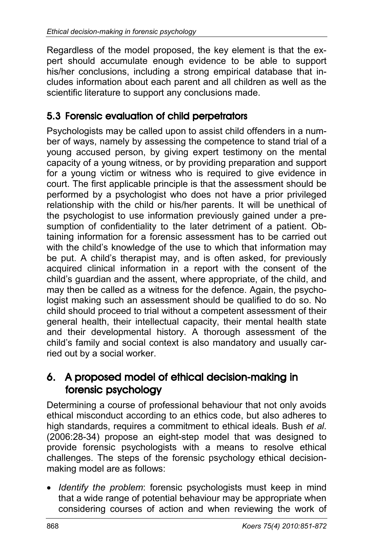Regardless of the model proposed, the key element is that the expert should accumulate enough evidence to be able to support his/her conclusions, including a strong empirical database that includes information about each parent and all children as well as the scientific literature to support any conclusions made.

## 5.3 Forensic evaluation of child perpetrators

Psychologists may be called upon to assist child offenders in a number of ways, namely by assessing the competence to stand trial of a young accused person, by giving expert testimony on the mental capacity of a young witness, or by providing preparation and support for a young victim or witness who is required to give evidence in court. The first applicable principle is that the assessment should be performed by a psychologist who does not have a prior privileged relationship with the child or his/her parents. It will be unethical of the psychologist to use information previously gained under a presumption of confidentiality to the later detriment of a patient. Obtaining information for a forensic assessment has to be carried out with the child's knowledge of the use to which that information may be put. A child's therapist may, and is often asked, for previously acquired clinical information in a report with the consent of the child's guardian and the assent, where appropriate, of the child, and may then be called as a witness for the defence. Again, the psychologist making such an assessment should be qualified to do so. No child should proceed to trial without a competent assessment of their general health, their intellectual capacity, their mental health state and their developmental history. A thorough assessment of the child's family and social context is also mandatory and usually carried out by a social worker.

# 6. A proposed model of ethical decision-making in forensic psychology

Determining a course of professional behaviour that not only avoids ethical misconduct according to an ethics code, but also adheres to high standards, requires a commitment to ethical ideals. Bush *et al*. (2006:28-34) propose an eight-step model that was designed to provide forensic psychologists with a means to resolve ethical challenges. The steps of the forensic psychology ethical decisionmaking model are as follows:

• *Identify the problem*: forensic psychologists must keep in mind that a wide range of potential behaviour may be appropriate when considering courses of action and when reviewing the work of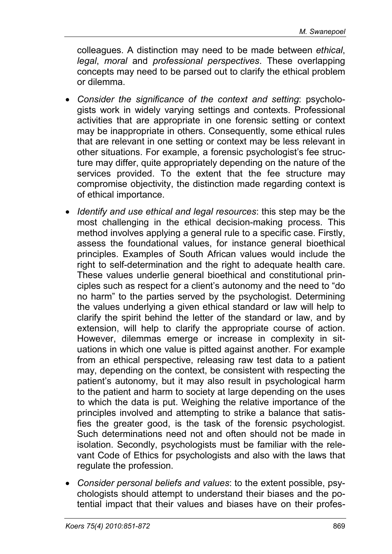colleagues. A distinction may need to be made between *ethical*, *legal*, *moral* and *professional perspectives*. These overlapping concepts may need to be parsed out to clarify the ethical problem or dilemma.

- *Consider the significance of the context and setting*: psychologists work in widely varying settings and contexts. Professional activities that are appropriate in one forensic setting or context may be inappropriate in others. Consequently, some ethical rules that are relevant in one setting or context may be less relevant in other situations. For example, a forensic psychologist's fee structure may differ, quite appropriately depending on the nature of the services provided. To the extent that the fee structure may compromise objectivity, the distinction made regarding context is of ethical importance.
- *Identify and use ethical and legal resources*: this step may be the most challenging in the ethical decision-making process. This method involves applying a general rule to a specific case. Firstly, assess the foundational values, for instance general bioethical principles. Examples of South African values would include the right to self-determination and the right to adequate health care. These values underlie general bioethical and constitutional principles such as respect for a client's autonomy and the need to "do no harm" to the parties served by the psychologist. Determining the values underlying a given ethical standard or law will help to clarify the spirit behind the letter of the standard or law, and by extension, will help to clarify the appropriate course of action. However, dilemmas emerge or increase in complexity in situations in which one value is pitted against another. For example from an ethical perspective, releasing raw test data to a patient may, depending on the context, be consistent with respecting the patient's autonomy, but it may also result in psychological harm to the patient and harm to society at large depending on the uses to which the data is put. Weighing the relative importance of the principles involved and attempting to strike a balance that satisfies the greater good, is the task of the forensic psychologist. Such determinations need not and often should not be made in isolation. Secondly, psychologists must be familiar with the relevant Code of Ethics for psychologists and also with the laws that regulate the profession.
- *Consider personal beliefs and values*: to the extent possible, psychologists should attempt to understand their biases and the potential impact that their values and biases have on their profes-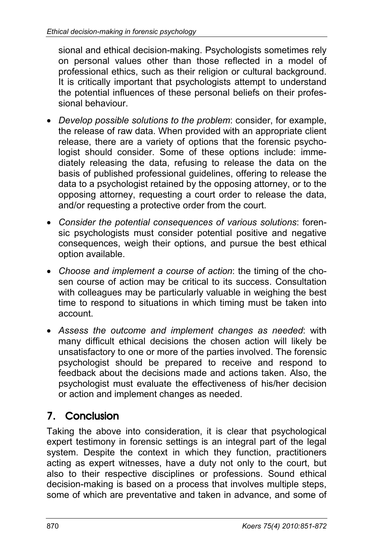sional and ethical decision-making. Psychologists sometimes rely on personal values other than those reflected in a model of professional ethics, such as their religion or cultural background. It is critically important that psychologists attempt to understand the potential influences of these personal beliefs on their professional behaviour.

- *Develop possible solutions to the problem*: consider, for example, the release of raw data. When provided with an appropriate client release, there are a variety of options that the forensic psychologist should consider. Some of these options include: immediately releasing the data, refusing to release the data on the basis of published professional guidelines, offering to release the data to a psychologist retained by the opposing attorney, or to the opposing attorney, requesting a court order to release the data, and/or requesting a protective order from the court.
- *Consider the potential consequences of various solutions*: forensic psychologists must consider potential positive and negative consequences, weigh their options, and pursue the best ethical option available.
- *Choose and implement a course of action*: the timing of the chosen course of action may be critical to its success. Consultation with colleagues may be particularly valuable in weighing the best time to respond to situations in which timing must be taken into account.
- *Assess the outcome and implement changes as needed*: with many difficult ethical decisions the chosen action will likely be unsatisfactory to one or more of the parties involved. The forensic psychologist should be prepared to receive and respond to feedback about the decisions made and actions taken. Also, the psychologist must evaluate the effectiveness of his/her decision or action and implement changes as needed.

# 7. Conclusion

Taking the above into consideration, it is clear that psychological expert testimony in forensic settings is an integral part of the legal system. Despite the context in which they function, practitioners acting as expert witnesses, have a duty not only to the court, but also to their respective disciplines or professions. Sound ethical decision-making is based on a process that involves multiple steps, some of which are preventative and taken in advance, and some of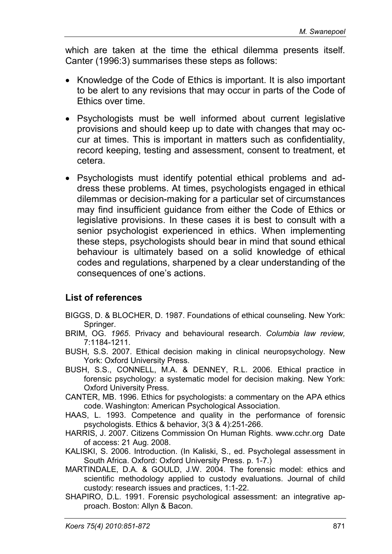which are taken at the time the ethical dilemma presents itself. Canter (1996:3) summarises these steps as follows:

- Knowledge of the Code of Ethics is important. It is also important to be alert to any revisions that may occur in parts of the Code of Ethics over time.
- Psychologists must be well informed about current legislative provisions and should keep up to date with changes that may occur at times. This is important in matters such as confidentiality, record keeping, testing and assessment, consent to treatment, et cetera.
- Psychologists must identify potential ethical problems and address these problems. At times, psychologists engaged in ethical dilemmas or decision-making for a particular set of circumstances may find insufficient guidance from either the Code of Ethics or legislative provisions. In these cases it is best to consult with a senior psychologist experienced in ethics. When implementing these steps, psychologists should bear in mind that sound ethical behaviour is ultimately based on a solid knowledge of ethical codes and regulations, sharpened by a clear understanding of the consequences of one's actions.

#### **List of references**

- BIGGS, D. & BLOCHER, D. 1987. Foundations of ethical counseling. New York: Springer.
- BRIM, OG. *1965*. Privacy and behavioural research. *Columbia law review,* 7:1184-1211.
- BUSH, S.S. 2007. Ethical decision making in clinical neuropsychology. New York: Oxford University Press.
- BUSH, S.S., CONNELL, M.A. & DENNEY, R.L. 2006. Ethical practice in forensic psychology: a systematic model for decision making. New York: Oxford University Press.
- CANTER, MB. 1996. Ethics for psychologists: a commentary on the APA ethics code. Washington: American Psychological Association.
- HAAS, L. 1993. Competence and quality in the performance of forensic psychologists. Ethics & behavior, 3(3 & 4):251-266.
- HARRIS, J. 2007. Citizens Commission On Human Rights. www.cchr.org Date of access: 21 Aug. 2008.
- KALISKI, S. 2006. Introduction. (In Kaliski, S., ed. Psycholegal assessment in South Africa. Oxford: Oxford University Press. p. 1-7.)
- MARTINDALE, D.A. & GOULD, J.W. 2004. The forensic model: ethics and scientific methodology applied to custody evaluations. Journal of child custody: research issues and practices, 1:1-22.
- SHAPIRO, D.L. 1991. Forensic psychological assessment: an integrative approach. Boston: Allyn & Bacon.